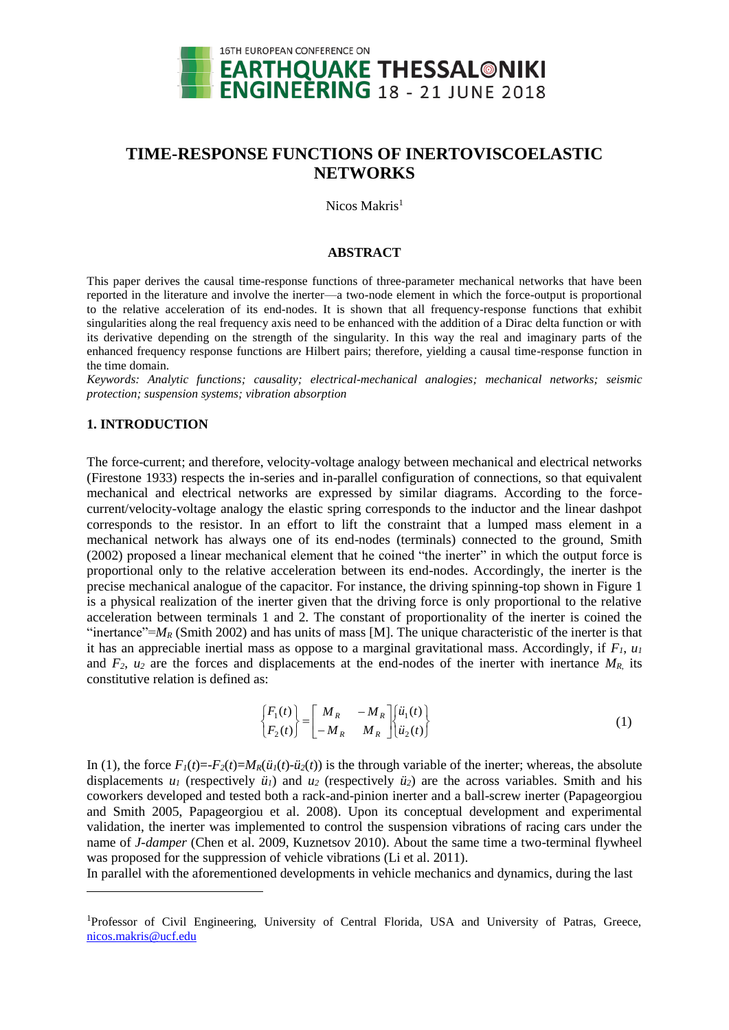

# **TIME-RESPONSE FUNCTIONS OF INERTOVISCOELASTIC NETWORKS**

Nicos Makris<sup>1</sup>

## **ABSTRACT**

This paper derives the causal time-response functions of three-parameter mechanical networks that have been reported in the literature and involve the inerter—a two-node element in which the force-output is proportional to the relative acceleration of its end-nodes. It is shown that all frequency-response functions that exhibit singularities along the real frequency axis need to be enhanced with the addition of a Dirac delta function or with its derivative depending on the strength of the singularity. In this way the real and imaginary parts of the enhanced frequency response functions are Hilbert pairs; therefore, yielding a causal time-response function in the time domain.

*Keywords: Analytic functions; causality; electrical-mechanical analogies; mechanical networks; seismic protection; suspension systems; vibration absorption*

## **1. INTRODUCTION**

l

The force-current; and therefore, velocity-voltage analogy between mechanical and electrical networks (Firestone 1933) respects the in-series and in-parallel configuration of connections, so that equivalent mechanical and electrical networks are expressed by similar diagrams. According to the forcecurrent/velocity-voltage analogy the elastic spring corresponds to the inductor and the linear dashpot corresponds to the resistor. In an effort to lift the constraint that a lumped mass element in a mechanical network has always one of its end-nodes (terminals) connected to the ground, Smith (2002) proposed a linear mechanical element that he coined "the inerter" in which the output force is proportional only to the relative acceleration between its end-nodes. Accordingly, the inerter is the precise mechanical analogue of the capacitor. For instance, the driving spinning-top shown in Figure 1 is a physical realization of the inerter given that the driving force is only proportional to the relative acceleration between terminals 1 and 2. The constant of proportionality of the inerter is coined the "inertance"= $M_R$  (Smith 2002) and has units of mass [M]. The unique characteristic of the inerter is that it has an appreciable inertial mass as oppose to a marginal gravitational mass. Accordingly, if *F1*, *u<sup>1</sup>* and  $F_2$ ,  $u_2$  are the forces and displacements at the end-nodes of the inerter with inertance  $M_R$  its constitutive relation is defined as:

$$
\begin{Bmatrix} F_1(t) \\ F_2(t) \end{Bmatrix} = \begin{bmatrix} M_R & -M_R \\ -M_R & M_R \end{bmatrix} \begin{Bmatrix} \ddot{u}_1(t) \\ \ddot{u}_2(t) \end{Bmatrix}
$$
 (1)

In (1), the force  $F_I(t) = -F_2(t) = M_R(i_I(t) - i_I^2(t))$  is the through variable of the inerter; whereas, the absolute displacements  $u_1$  (respectively  $\ddot{u}_1$ ) and  $u_2$  (respectively  $\ddot{u}_2$ ) are the across variables. Smith and his coworkers developed and tested both a rack-and-pinion inerter and a ball-screw inerter (Papageorgiou and Smith 2005, Papageorgiou et al. 2008). Upon its conceptual development and experimental validation, the inerter was implemented to control the suspension vibrations of racing cars under the name of *J-damper* (Chen et al. 2009, Kuznetsov 2010). About the same time a two-terminal flywheel was proposed for the suppression of vehicle vibrations (Li et al. 2011).

In parallel with the aforementioned developments in vehicle mechanics and dynamics, during the last

<sup>1</sup>Professor of Civil Engineering, University of Central Florida, USA and University of Patras, Greece, [nicos.makris@ucf.edu](mailto:nicos.makris@ucf.edu)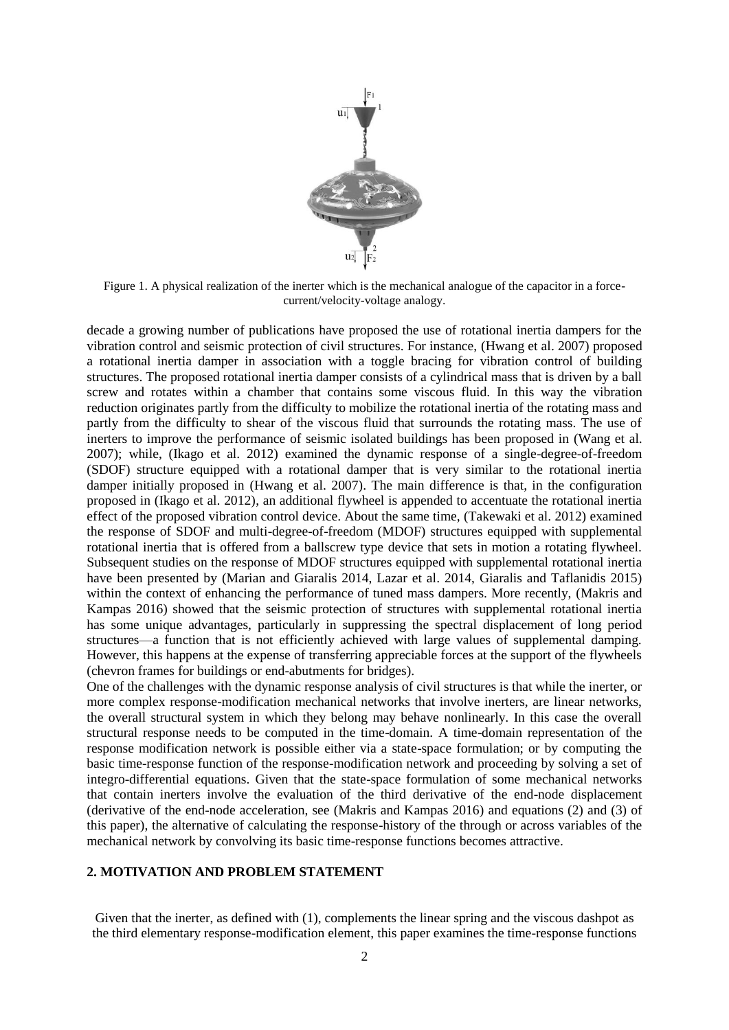

Figure 1. A physical realization of the inerter which is the mechanical analogue of the capacitor in a forcecurrent/velocity-voltage analogy.

decade a growing number of publications have proposed the use of rotational inertia dampers for the vibration control and seismic protection of civil structures. For instance, (Hwang et al. 2007) proposed a rotational inertia damper in association with a toggle bracing for vibration control of building structures. The proposed rotational inertia damper consists of a cylindrical mass that is driven by a ball screw and rotates within a chamber that contains some viscous fluid. In this way the vibration reduction originates partly from the difficulty to mobilize the rotational inertia of the rotating mass and partly from the difficulty to shear of the viscous fluid that surrounds the rotating mass. The use of inerters to improve the performance of seismic isolated buildings has been proposed in (Wang et al. 2007); while, (Ikago et al. 2012) examined the dynamic response of a single-degree-of-freedom (SDOF) structure equipped with a rotational damper that is very similar to the rotational inertia damper initially proposed in (Hwang et al. 2007). The main difference is that, in the configuration proposed in (Ikago et al. 2012), an additional flywheel is appended to accentuate the rotational inertia effect of the proposed vibration control device. About the same time, (Takewaki et al. 2012) examined the response of SDOF and multi-degree-of-freedom (MDOF) structures equipped with supplemental rotational inertia that is offered from a ballscrew type device that sets in motion a rotating flywheel. Subsequent studies on the response of MDOF structures equipped with supplemental rotational inertia have been presented by (Marian and Giaralis 2014, Lazar et al. 2014, Giaralis and Taflanidis 2015) within the context of enhancing the performance of tuned mass dampers. More recently, (Makris and Kampas 2016) showed that the seismic protection of structures with supplemental rotational inertia has some unique advantages, particularly in suppressing the spectral displacement of long period structures—a function that is not efficiently achieved with large values of supplemental damping. However, this happens at the expense of transferring appreciable forces at the support of the flywheels (chevron frames for buildings or end-abutments for bridges).

One of the challenges with the dynamic response analysis of civil structures is that while the inerter, or more complex response-modification mechanical networks that involve inerters, are linear networks, the overall structural system in which they belong may behave nonlinearly. In this case the overall structural response needs to be computed in the time-domain. A time-domain representation of the response modification network is possible either via a state-space formulation; or by computing the basic time-response function of the response-modification network and proceeding by solving a set of integro-differential equations. Given that the state-space formulation of some mechanical networks that contain inerters involve the evaluation of the third derivative of the end-node displacement (derivative of the end-node acceleration, see (Makris and Kampas 2016) and equations (2) and (3) of this paper), the alternative of calculating the response-history of the through or across variables of the mechanical network by convolving its basic time-response functions becomes attractive.

#### **2. MOTIVATION AND PROBLEM STATEMENT**

Given that the inerter, as defined with (1), complements the linear spring and the viscous dashpot as the third elementary response-modification element, this paper examines the time-response functions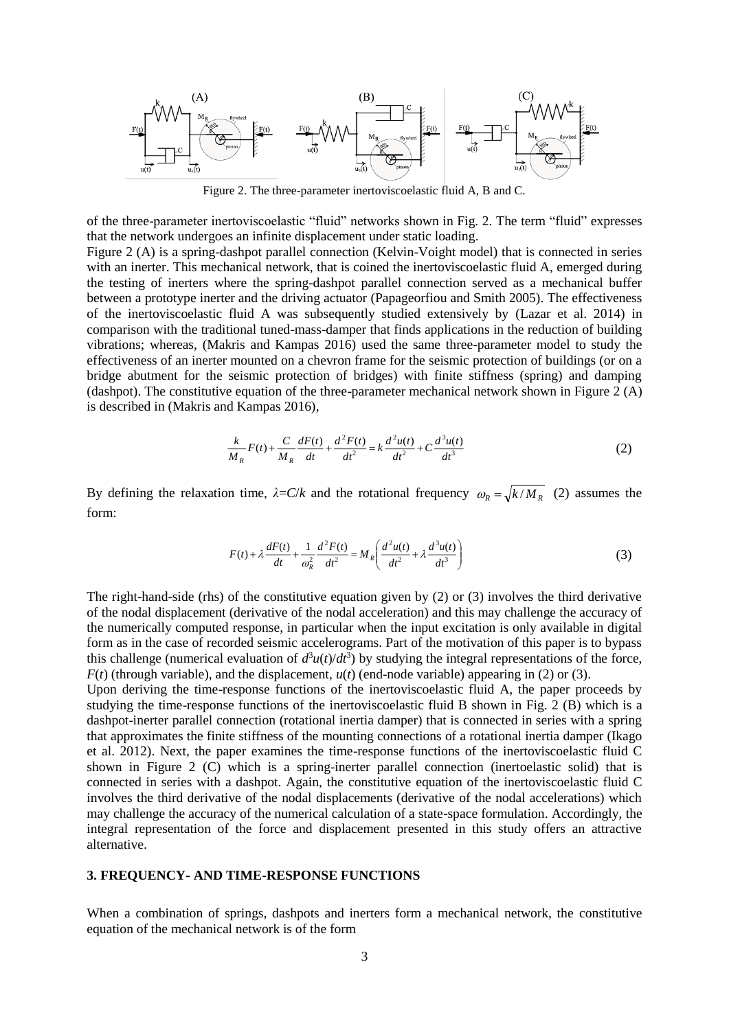

Figure 2. The three-parameter inertoviscoelastic fluid A, B and C.

of the three-parameter inertoviscoelastic "fluid" networks shown in Fig. 2. The term "fluid" expresses that the network undergoes an infinite displacement under static loading.

Figure 2 (A) is a spring-dashpot parallel connection (Kelvin-Voight model) that is connected in series with an inerter. This mechanical network, that is coined the inertoviscoelastic fluid A, emerged during the testing of inerters where the spring-dashpot parallel connection served as a mechanical buffer between a prototype inerter and the driving actuator (Papageorfiou and Smith 2005). The effectiveness of the inertoviscoelastic fluid A was subsequently studied extensively by (Lazar et al. 2014) in comparison with the traditional tuned-mass-damper that finds applications in the reduction of building vibrations; whereas, (Makris and Kampas 2016) used the same three-parameter model to study the effectiveness of an inerter mounted on a chevron frame for the seismic protection of buildings (or on a bridge abutment for the seismic protection of bridges) with finite stiffness (spring) and damping (dashpot). The constitutive equation of the three-parameter mechanical network shown in Figure 2 (A) is described in (Makris and Kampas 2016),

$$
\frac{k}{M_R}F(t) + \frac{C}{M_R}\frac{dF(t)}{dt} + \frac{d^2F(t)}{dt^2} = k\frac{d^2u(t)}{dt^2} + C\frac{d^3u(t)}{dt^3}
$$
(2)

By defining the relaxation time,  $\lambda = C/k$  and the rotational frequency  $\omega_R = \sqrt{k/M_R}$  (2) assumes the form:

$$
F(t) + \lambda \frac{dF(t)}{dt} + \frac{1}{\omega_R^2} \frac{d^2 F(t)}{dt^2} = M_R \left( \frac{d^2 u(t)}{dt^2} + \lambda \frac{d^3 u(t)}{dt^3} \right)
$$
(3)

The right-hand-side (rhs) of the constitutive equation given by (2) or (3) involves the third derivative of the nodal displacement (derivative of the nodal acceleration) and this may challenge the accuracy of the numerically computed response, in particular when the input excitation is only available in digital form as in the case of recorded seismic accelerograms. Part of the motivation of this paper is to bypass this challenge (numerical evaluation of  $d^3u(t)/dt^3$ ) by studying the integral representations of the force,  $F(t)$  (through variable), and the displacement,  $u(t)$  (end-node variable) appearing in (2) or (3).

Upon deriving the time-response functions of the inertoviscoelastic fluid A, the paper proceeds by studying the time-response functions of the inertoviscoelastic fluid B shown in Fig. 2 (B) which is a dashpot-inerter parallel connection (rotational inertia damper) that is connected in series with a spring that approximates the finite stiffness of the mounting connections of a rotational inertia damper (Ikago et al. 2012). Next, the paper examines the time-response functions of the inertoviscoelastic fluid C shown in Figure 2 (C) which is a spring-inerter parallel connection (inertoelastic solid) that is connected in series with a dashpot. Again, the constitutive equation of the inertoviscoelastic fluid C involves the third derivative of the nodal displacements (derivative of the nodal accelerations) which may challenge the accuracy of the numerical calculation of a state-space formulation. Accordingly, the integral representation of the force and displacement presented in this study offers an attractive alternative.

#### **3. FREQUENCY- AND TIME-RESPONSE FUNCTIONS**

When a combination of springs, dashpots and inerters form a mechanical network, the constitutive equation of the mechanical network is of the form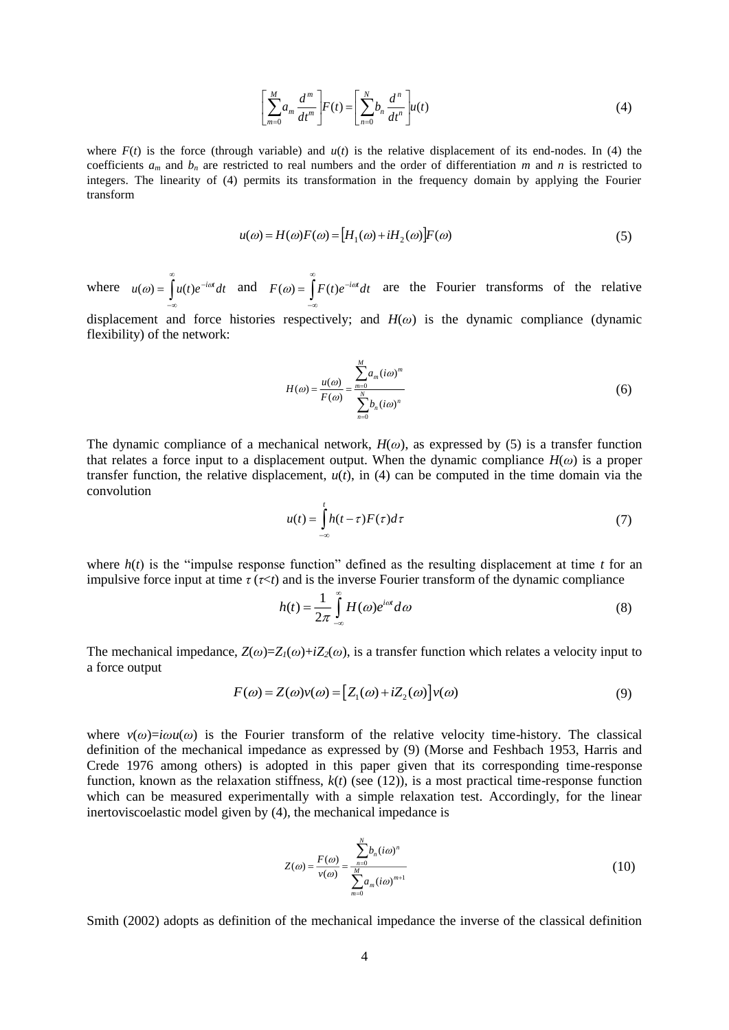$$
\left[\sum_{m=0}^{M} a_m \frac{d^m}{dt^m}\right] F(t) = \left[\sum_{n=0}^{N} b_n \frac{d^n}{dt^n}\right] u(t)
$$
\n(4)

where  $F(t)$  is the force (through variable) and  $u(t)$  is the relative displacement of its end-nodes. In (4) the coefficients  $a_m$  and  $b_n$  are restricted to real numbers and the order of differentiation  $m$  and  $n$  is restricted to integers. The linearity of (4) permits its transformation in the frequency domain by applying the Fourier transform

$$
u(\omega) = H(\omega)F(\omega) = [H_1(\omega) + iH_2(\omega)]F(\omega)
$$
\n(5)

where  $u(\omega) = \int u(t)e^{-i\omega t}dt$  and  $F(\omega) = \int u(t)e^{-i\omega t}dt$  are the Fourier transforms of the relative  $-\infty$  $-\infty$ 

displacement and force histories respectively; and *H*(*ω*) is the dynamic compliance (dynamic flexibility) of the network:

$$
H(\omega) = \frac{u(\omega)}{F(\omega)} = \frac{\sum_{m=0}^{M} a_m (i\omega)^m}{\sum_{n=0}^{N} b_n (i\omega)^n}
$$
 (6)

The dynamic compliance of a mechanical network,  $H(\omega)$ , as expressed by (5) is a transfer function that relates a force input to a displacement output. When the dynamic compliance  $H(\omega)$  is a proper transfer function, the relative displacement,  $u(t)$ , in (4) can be computed in the time domain via the convolution

$$
u(t) = \int_{-\infty}^{t} h(t-\tau)F(\tau)d\tau
$$
\n(7)

where  $h(t)$  is the "impulse response function" defined as the resulting displacement at time  $t$  for an impulsive force input at time  $\tau (\tau \le t)$  and is the inverse Fourier transform of the dynamic compliance

$$
h(t) = \frac{1}{2\pi} \int_{-\infty}^{\infty} H(\omega)e^{i\omega t} d\omega
$$
 (8)

The mechanical impedance,  $Z(\omega)=Z_I(\omega)+iZ_I(\omega)$ , is a transfer function which relates a velocity input to a force output

$$
F(\omega) = Z(\omega)v(\omega) = [Z_1(\omega) + iZ_2(\omega)]v(\omega)
$$
\n(9)

where  $v(\omega) = i\omega u(\omega)$  is the Fourier transform of the relative velocity time-history. The classical definition of the mechanical impedance as expressed by (9) (Morse and Feshbach 1953, Harris and Crede 1976 among others) is adopted in this paper given that its corresponding time-response function, known as the relaxation stiffness,  $k(t)$  (see (12)), is a most practical time-response function which can be measured experimentally with a simple relaxation test. Accordingly, for the linear inertoviscoelastic model given by (4), the mechanical impedance is

$$
Z(\omega) = \frac{F(\omega)}{v(\omega)} = \frac{\sum_{n=0}^{N} b_n(i\omega)^n}{\sum_{m=0}^{M} a_m(i\omega)^{m+1}}
$$
(10)

Smith (2002) adopts as definition of the mechanical impedance the inverse of the classical definition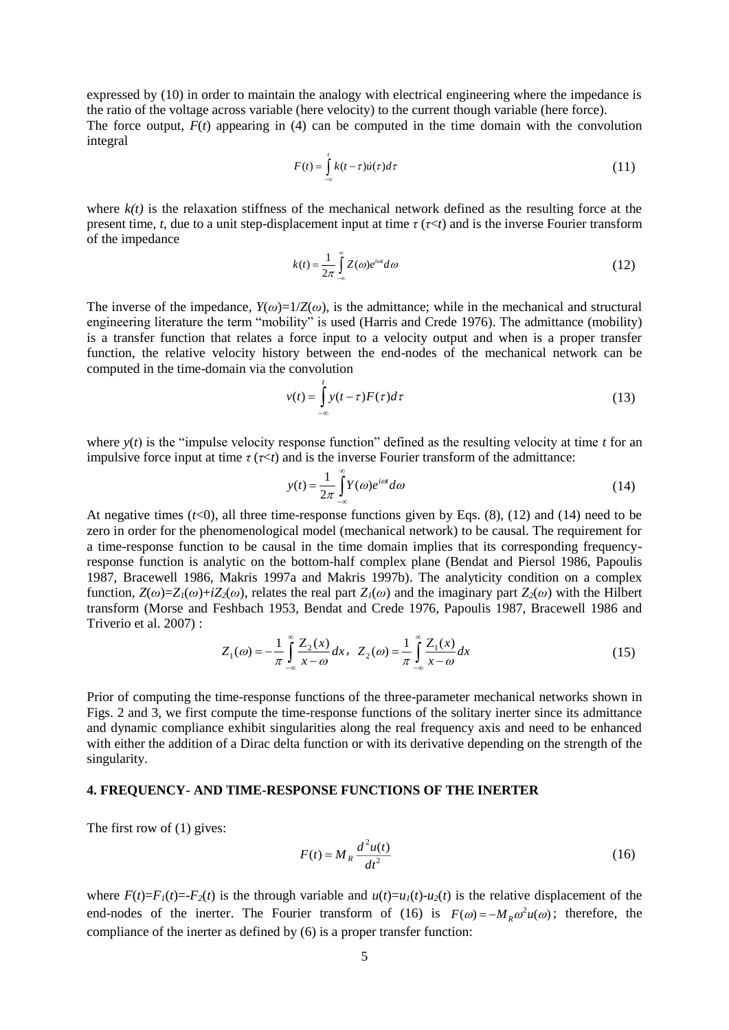expressed by (10) in order to maintain the analogy with electrical engineering where the impedance is the ratio of the voltage across variable (here velocity) to the current though variable (here force). The force output,  $F(t)$  appearing in (4) can be computed in the time domain with the convolution integral

$$
F(t) = \int_{-\infty}^{t} k(t - \tau) \dot{u}(\tau) d\tau
$$
 (11)

where  $k(t)$  is the relaxation stiffness of the mechanical network defined as the resulting force at the present time, *t*, due to a unit step-displacement input at time *τ* (*τ*<*t*) and is the inverse Fourier transform of the impedance

$$
k(t) = \frac{1}{2\pi} \int_{-\infty}^{\infty} Z(\omega)e^{i\omega t} d\omega
$$
 (12)

The inverse of the impedance,  $Y(\omega) = 1/Z(\omega)$ , is the admittance; while in the mechanical and structural engineering literature the term "mobility" is used (Harris and Crede 1976). The admittance (mobility) is a transfer function that relates a force input to a velocity output and when is a proper transfer function, the relative velocity history between the end-nodes of the mechanical network can be computed in the time-domain via the convolution

$$
v(t) = \int_{-\infty}^{t} y(t-\tau) F(\tau) d\tau
$$
 (13)

where  $y(t)$  is the "impulse velocity response function" defined as the resulting velocity at time *t* for an impulsive force input at time  $\tau (\tau \le t)$  and is the inverse Fourier transform of the admittance:

$$
y(t) = \frac{1}{2\pi} \int_{-\infty}^{\infty} Y(\omega) e^{i\omega t} d\omega
$$
 (14)

At negative times  $(t<0)$ , all three time-response functions given by Eqs. (8), (12) and (14) need to be zero in order for the phenomenological model (mechanical network) to be causal. The requirement for a time-response function to be causal in the time domain implies that its corresponding frequencyresponse function is analytic on the bottom-half complex plane (Bendat and Piersol 1986, Papoulis 1987, Bracewell 1986, Makris 1997a and Makris 1997b). The analyticity condition on a complex function,  $Z(\omega)=Z_{I}(\omega)+iZ_{2}(\omega)$ , relates the real part  $Z_{I}(\omega)$  and the imaginary part  $Z_{2}(\omega)$  with the Hilbert transform (Morse and Feshbach 1953, Bendat and Crede 1976, Papoulis 1987, Bracewell 1986 and Triverio et al. 2007) :

$$
Z_1(\omega) = -\frac{1}{\pi} \int_{-\infty}^{\infty} \frac{Z_2(x)}{x - \omega} dx, \quad Z_2(\omega) = \frac{1}{\pi} \int_{-\infty}^{\infty} \frac{Z_1(x)}{x - \omega} dx
$$
 (15)

Prior of computing the time-response functions of the three-parameter mechanical networks shown in Figs. 2 and 3, we first compute the time-response functions of the solitary inerter since its admittance and dynamic compliance exhibit singularities along the real frequency axis and need to be enhanced with either the addition of a Dirac delta function or with its derivative depending on the strength of the singularity.

#### **4. FREQUENCY- AND TIME-RESPONSE FUNCTIONS OF THE INERTER**

The first row of (1) gives:

$$
F(t) = M_R \frac{d^2 u(t)}{dt^2}
$$
 (16)

where  $F(t)=F_1(t) = -F_2(t)$  is the through variable and  $u(t)=u_1(t) - u_2(t)$  is the relative displacement of the end-nodes of the inerter. The Fourier transform of (16) is  $F(\omega) = -M_R \omega^2 u(\omega)$ ; therefore, the compliance of the inerter as defined by (6) is a proper transfer function: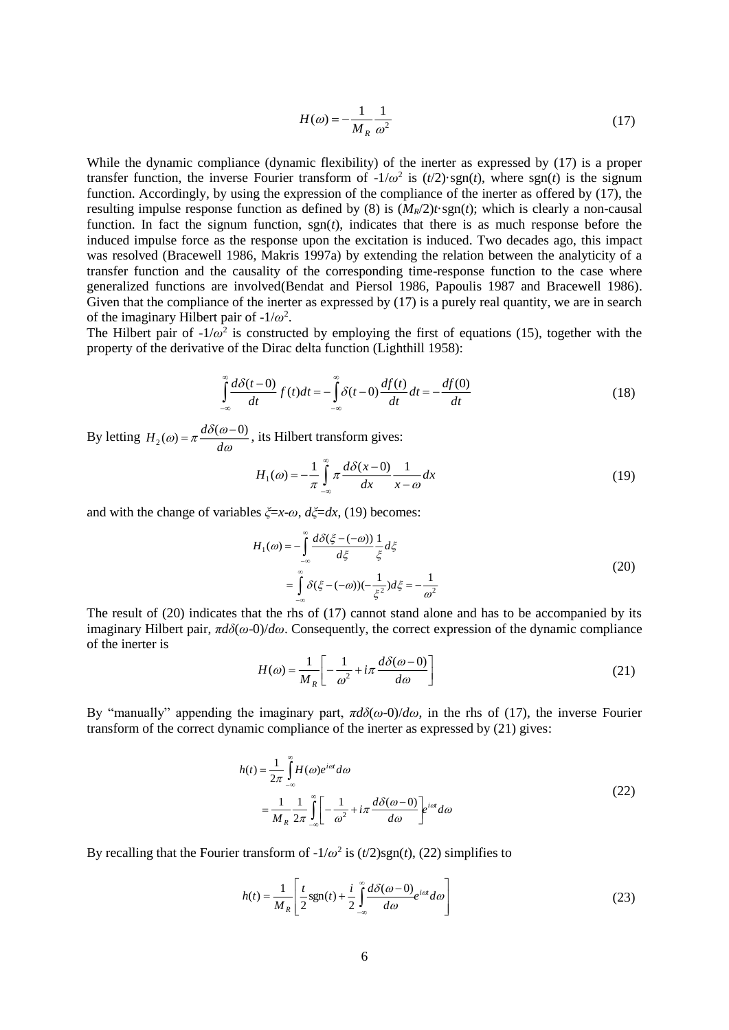$$
H(\omega) = -\frac{1}{M_R} \frac{1}{\omega^2} \tag{17}
$$

While the dynamic compliance (dynamic flexibility) of the inerter as expressed by (17) is a proper transfer function, the inverse Fourier transform of  $-1/\omega^2$  is  $(t/2)$ ·sgn(*t*), where sgn(*t*) is the signum function. Accordingly, by using the expression of the compliance of the inerter as offered by (17), the resulting impulse response function as defined by (8) is  $(M_R/2)t \cdot \text{sgn}(t)$ ; which is clearly a non-causal function. In fact the signum function, sgn(*t*), indicates that there is as much response before the induced impulse force as the response upon the excitation is induced. Two decades ago, this impact was resolved (Bracewell 1986, Makris 1997a) by extending the relation between the analyticity of a transfer function and the causality of the corresponding time-response function to the case where generalized functions are involved(Bendat and Piersol 1986, Papoulis 1987 and Bracewell 1986). Given that the compliance of the inerter as expressed by (17) is a purely real quantity, we are in search of the imaginary Hilbert pair of  $-1/\omega^2$ .

The Hilbert pair of  $-1/\omega^2$  is constructed by employing the first of equations (15), together with the property of the derivative of the Dirac delta function (Lighthill 1958):

$$
\int_{-\infty}^{\infty} \frac{d\delta(t-0)}{dt} f(t)dt = -\int_{-\infty}^{\infty} \delta(t-0) \frac{df(t)}{dt} dt = -\frac{df(0)}{dt}
$$
\n(18)

By letting  $H_2(\omega) = \pi \frac{d\omega(\omega)}{d\omega}$  $\omega$ ) =  $\pi \frac{d\delta(\omega)}{d\omega}$  $H_2(\omega) = \pi \frac{d\delta(\omega - 0)}{d\omega}$ , its Hilbert transform gives:

$$
H_1(\omega) = -\frac{1}{\pi} \int_{-\infty}^{\infty} \pi \frac{d\delta(x-0)}{dx} \frac{1}{x-\omega} dx
$$
 (19)

and with the change of variables *ξ*=*x*-*ω*, *dξ*=*dx*, (19) becomes:

$$
H_1(\omega) = -\int_{-\infty}^{\infty} \frac{d\delta(\xi - (-\omega))}{d\xi} \frac{1}{\xi} d\xi
$$
  
= 
$$
\int_{-\infty}^{\infty} \delta(\xi - (-\omega))(-\frac{1}{\xi^2}) d\xi = -\frac{1}{\omega^2}
$$
 (20)

The result of (20) indicates that the rhs of (17) cannot stand alone and has to be accompanied by its imaginary Hilbert pair, *πdδ*(*ω*-0)/*dω*. Consequently, the correct expression of the dynamic compliance of the inerter is

$$
H(\omega) = \frac{1}{M_R} \left[ -\frac{1}{\omega^2} + i\pi \frac{d\delta(\omega - 0)}{d\omega} \right]
$$
 (21)

By "manually" appending the imaginary part, *πdδ*(*ω*-0)/*dω*, in the rhs of (17), the inverse Fourier transform of the correct dynamic compliance of the inerter as expressed by (21) gives:

$$
h(t) = \frac{1}{2\pi} \int_{-\infty}^{\infty} H(\omega)e^{i\omega t} d\omega
$$
  
= 
$$
\frac{1}{M_R} \frac{1}{2\pi} \int_{-\infty}^{\infty} \left[ -\frac{1}{\omega^2} + i\pi \frac{d\delta(\omega - 0)}{d\omega} \right] e^{i\omega t} d\omega
$$
 (22)

By recalling that the Fourier transform of  $-1/\omega^2$  is  $(t/2)$ sgn(*t*), (22) simplifies to

$$
h(t) = \frac{1}{M_R} \left[ \frac{t}{2} \text{sgn}(t) + \frac{i}{2} \int_{-\infty}^{\infty} \frac{d\delta(\omega - 0)}{d\omega} e^{i\omega t} d\omega \right]
$$
(23)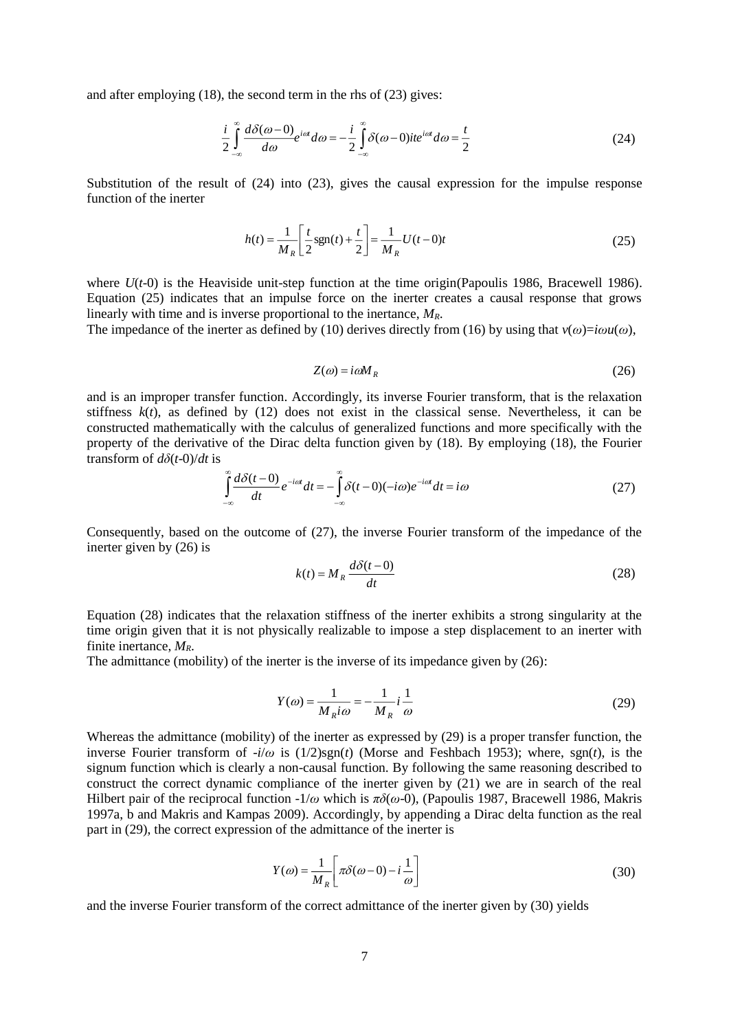and after employing (18), the second term in the rhs of (23) gives:

$$
\frac{i}{2} \int_{-\infty}^{\infty} \frac{d\delta(\omega - 0)}{d\omega} e^{i\omega t} d\omega = -\frac{i}{2} \int_{-\infty}^{\infty} \delta(\omega - 0) i t e^{i\omega t} d\omega = \frac{t}{2}
$$
\n(24)

Substitution of the result of (24) into (23), gives the causal expression for the impulse response function of the inerter

$$
h(t) = \frac{1}{M_R} \left[ \frac{t}{2} \text{sgn}(t) + \frac{t}{2} \right] = \frac{1}{M_R} U(t - 0)t
$$
 (25)

where  $U(t-0)$  is the Heaviside unit-step function at the time origin(Papoulis 1986, Bracewell 1986). Equation (25) indicates that an impulse force on the inerter creates a causal response that grows linearly with time and is inverse proportional to the inertance, *MR*.

The impedance of the inerter as defined by (10) derives directly from (16) by using that  $v(\omega) = i\omega u(\omega)$ ,

$$
Z(\omega) = i\omega M_R \tag{26}
$$

and is an improper transfer function. Accordingly, its inverse Fourier transform, that is the relaxation stiffness  $k(t)$ , as defined by (12) does not exist in the classical sense. Nevertheless, it can be constructed mathematically with the calculus of generalized functions and more specifically with the property of the derivative of the Dirac delta function given by (18). By employing (18), the Fourier transform of *dδ*(*t*-0)/*dt* is

$$
\int_{-\infty}^{\infty} \frac{d\delta(t-0)}{dt} e^{-i\alpha t} dt = -\int_{-\infty}^{\infty} \delta(t-0)(-i\omega)e^{-i\alpha t} dt = i\omega
$$
\n(27)

Consequently, based on the outcome of (27), the inverse Fourier transform of the impedance of the inerter given by (26) is

$$
k(t) = M_R \frac{d\delta(t-0)}{dt}
$$
 (28)

Equation (28) indicates that the relaxation stiffness of the inerter exhibits a strong singularity at the time origin given that it is not physically realizable to impose a step displacement to an inerter with finite inertance, *MR*.

The admittance (mobility) of the inerter is the inverse of its impedance given by (26):

$$
Y(\omega) = \frac{1}{M_R i\omega} = -\frac{1}{M_R} i \frac{1}{\omega}
$$
\n(29)

Whereas the admittance (mobility) of the inerter as expressed by (29) is a proper transfer function, the inverse Fourier transform of -*i*/*ω* is (1/2)sgn(*t*) (Morse and Feshbach 1953); where, sgn(*t*), is the signum function which is clearly a non-causal function. By following the same reasoning described to construct the correct dynamic compliance of the inerter given by (21) we are in search of the real Hilbert pair of the reciprocal function -1/*ω* which is *πδ*(*ω*-0), (Papoulis 1987, Bracewell 1986, Makris 1997a, b and Makris and Kampas 2009). Accordingly, by appending a Dirac delta function as the real part in (29), the correct expression of the admittance of the inerter is

$$
Y(\omega) = \frac{1}{M_R} \left[ \pi \delta(\omega - 0) - i \frac{1}{\omega} \right]
$$
 (30)

and the inverse Fourier transform of the correct admittance of the inerter given by (30) yields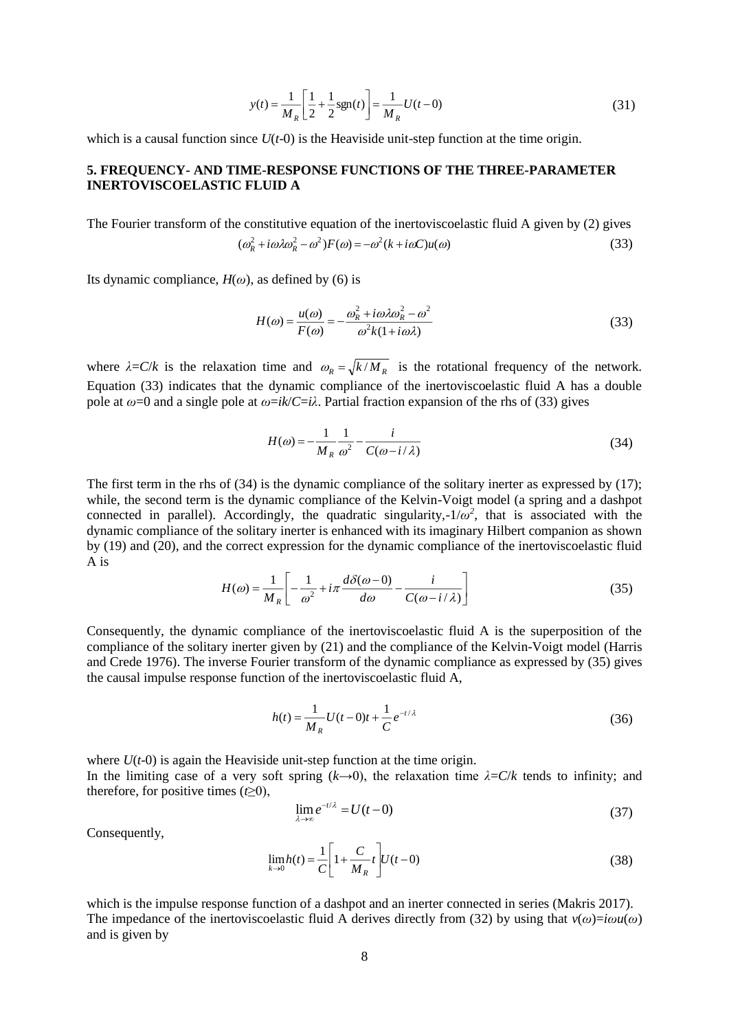$$
y(t) = \frac{1}{M_R} \left[ \frac{1}{2} + \frac{1}{2} \text{sgn}(t) \right] = \frac{1}{M_R} U(t - 0)
$$
 (31)

which is a causal function since  $U(t-0)$  is the Heaviside unit-step function at the time origin.

### **5. FREQUENCY- AND TIME-RESPONSE FUNCTIONS OF THE THREE-PARAMETER INERTOVISCOELASTIC FLUID A**

The Fourier transform of the constitutive equation of the inertoviscoelastic fluid A given by (2) gives  $(\omega_R^2 + i\omega\lambda\omega_R^2 - \omega^2)F(\omega) = -\omega^2(k + i\omega C)u(\omega)$ (33)

Its dynamic compliance,  $H(\omega)$ , as defined by (6) is

$$
H(\omega) = \frac{u(\omega)}{F(\omega)} = -\frac{\omega_R^2 + i\omega\lambda\omega_R^2 - \omega^2}{\omega^2 k(1 + i\omega\lambda)}
$$
(33)

where  $\lambda = C/k$  is the relaxation time and  $\omega_R = \sqrt{k/M_R}$  is the rotational frequency of the network. Equation (33) indicates that the dynamic compliance of the inertoviscoelastic fluid A has a double pole at  $ω=0$  and a single pole at  $ω=ik/C=iλ$ . Partial fraction expansion of the rhs of (33) gives

$$
H(\omega) = -\frac{1}{M_R} \frac{1}{\omega^2} - \frac{i}{C(\omega - i/\lambda)}
$$
(34)

The first term in the rhs of (34) is the dynamic compliance of the solitary inerter as expressed by (17); while, the second term is the dynamic compliance of the Kelvin-Voigt model (a spring and a dashpot connected in parallel). Accordingly, the quadratic singularity,- $1/\omega^2$ , that is associated with the dynamic compliance of the solitary inerter is enhanced with its imaginary Hilbert companion as shown by (19) and (20), and the correct expression for the dynamic compliance of the inertoviscoelastic fluid A is

$$
H(\omega) = \frac{1}{M_R} \left[ -\frac{1}{\omega^2} + i\pi \frac{d\delta(\omega - 0)}{d\omega} - \frac{i}{C(\omega - i/\lambda)} \right]
$$
(35)

Consequently, the dynamic compliance of the inertoviscoelastic fluid A is the superposition of the compliance of the solitary inerter given by (21) and the compliance of the Kelvin-Voigt model (Harris and Crede 1976). The inverse Fourier transform of the dynamic compliance as expressed by (35) gives the causal impulse response function of the inertoviscoelastic fluid A,

$$
h(t) = \frac{1}{M_R} U(t-0)t + \frac{1}{C} e^{-t/\lambda}
$$
\n(36)

where  $U(t-0)$  is again the Heaviside unit-step function at the time origin. In the limiting case of a very soft spring  $(k\rightarrow 0)$ , the relaxation time  $\lambda = C/k$  tends to infinity; and therefore, for positive times  $(t\geq 0)$ ,

$$
\lim_{\lambda \to \infty} e^{-t/\lambda} = U(t-0) \tag{37}
$$

Consequently,

$$
\lim_{k \to 0} h(t) = \frac{1}{C} \left[ 1 + \frac{C}{M_R} t \right] U(t - 0)
$$
\n(38)

which is the impulse response function of a dashpot and an inerter connected in series (Makris 2017). The impedance of the inertoviscoelastic fluid A derives directly from (32) by using that  $v(\omega) = i\omega u(\omega)$ and is given by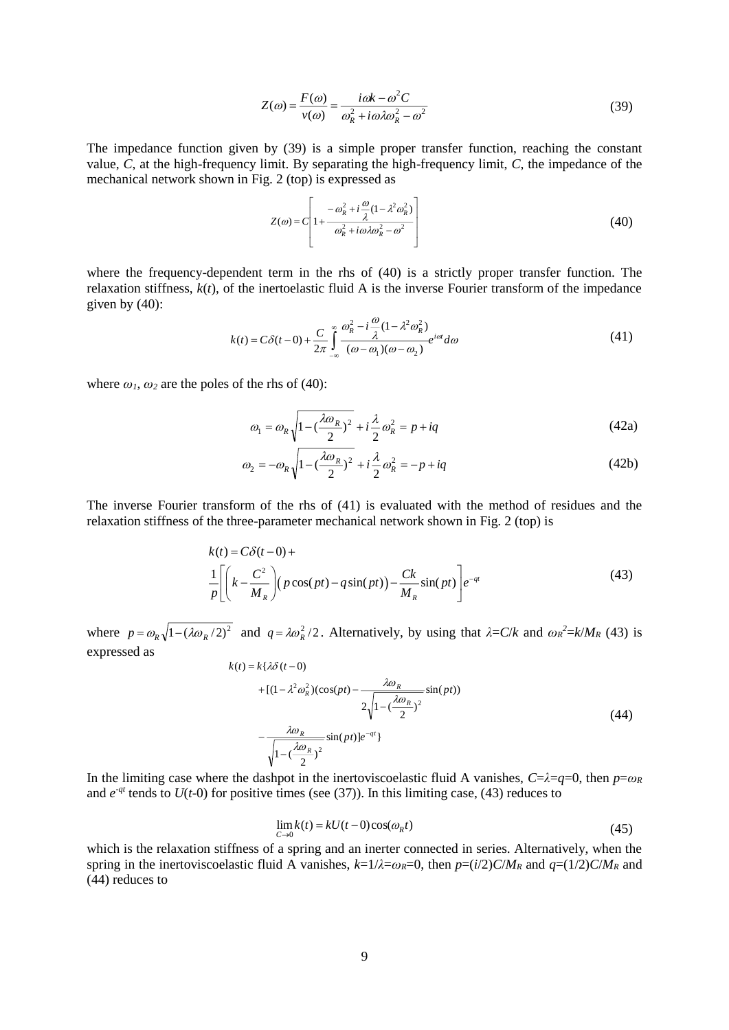$$
Z(\omega) = \frac{F(\omega)}{v(\omega)} = \frac{i\omega k - \omega^2 C}{\omega_R^2 + i\omega \lambda \omega_R^2 - \omega^2}
$$
(39)

The impedance function given by (39) is a simple proper transfer function, reaching the constant value, *C*, at the high-frequency limit. By separating the high-frequency limit, *C*, the impedance of the mechanical network shown in Fig. 2 (top) is expressed as

$$
Z(\omega) = C \left[ 1 + \frac{-\omega_R^2 + i\frac{\omega}{\lambda}(1 - \lambda^2 \omega_R^2)}{\omega_R^2 + i\omega\lambda\omega_R^2 - \omega^2} \right]
$$
(40)

where the frequency-dependent term in the rhs of (40) is a strictly proper transfer function. The relaxation stiffness, *k*(*t*), of the inertoelastic fluid A is the inverse Fourier transform of the impedance given by  $(40)$ :

$$
k(t) = C\delta(t-0) + \frac{C}{2\pi} \int_{-\infty}^{\infty} \frac{\omega_R^2 - i\frac{\omega}{\lambda} (1 - \lambda^2 \omega_R^2)}{(\omega - \omega_1)(\omega - \omega_2)} e^{i\omega t} d\omega
$$
 (41)

where  $\omega_1$ ,  $\omega_2$  are the poles of the rhs of (40):

$$
\omega_1 = \omega_R \sqrt{1 - \left(\frac{\lambda \omega_R}{2}\right)^2 + i\frac{\lambda}{2} \omega_R^2} = p + iq
$$
\n(42a)

$$
\omega_2 = -\omega_R \sqrt{1 - \left(\frac{\lambda \omega_R}{2}\right)^2 + i\frac{\lambda}{2}\omega_R^2} = -p + iq
$$
\n(42b)

The inverse Fourier transform of the rhs of (41) is evaluated with the method of residues and the relaxation stiffness of the three-parameter mechanical network shown in Fig. 2 (top) is

$$
k(t) = C\delta(t-0) +
$$
  
\n
$$
\frac{1}{p} \left[ \left( k - \frac{C^2}{M_R} \right) (p \cos(pt) - q \sin(pt) \right] - \frac{Ck}{M_R} \sin(pt) \bigg] e^{-qt}
$$
\n(43)

where  $p = \omega_R \sqrt{1 - (\lambda \omega_R / 2)^2}$  and  $q = \lambda \omega_R^2 / 2$ . Alternatively, by using that  $\lambda = C/k$  and  $\omega_R^2 = k/M_R$  (43) is expressed as

$$
k(t) = k\{\lambda\delta(t-0)
$$
  
+ 
$$
[ (1 - \lambda^2 \omega_R^2)(\cos(pt) - \frac{\lambda\omega_R}{2\sqrt{1 - (\frac{\lambda\omega_R}{2})^2}}\sin(pt))
$$
  
- 
$$
\frac{\lambda\omega_R}{\sqrt{1 - (\frac{\lambda\omega_R}{2})^2}}\sin(pt)]e^{-qt}
$$
 (44)

In the limiting case where the dashpot in the inertoviscoelastic fluid A vanishes,  $C=\lambda=q=0$ , then  $p=\omega_R$ and  $e^{-qt}$  tends to  $U(t-0)$  for positive times (see (37)). In this limiting case, (43) reduces to

$$
\lim_{C \to 0} k(t) = kU(t-0)\cos(\omega_R t) \tag{45}
$$

which is the relaxation stiffness of a spring and an inerter connected in series. Alternatively, when the spring in the inertoviscoelastic fluid A vanishes,  $k=1/\lambda=\omega_R=0$ , then  $p=(i/2)C/M_R$  and  $q=(1/2)C/M_R$  and (44) reduces to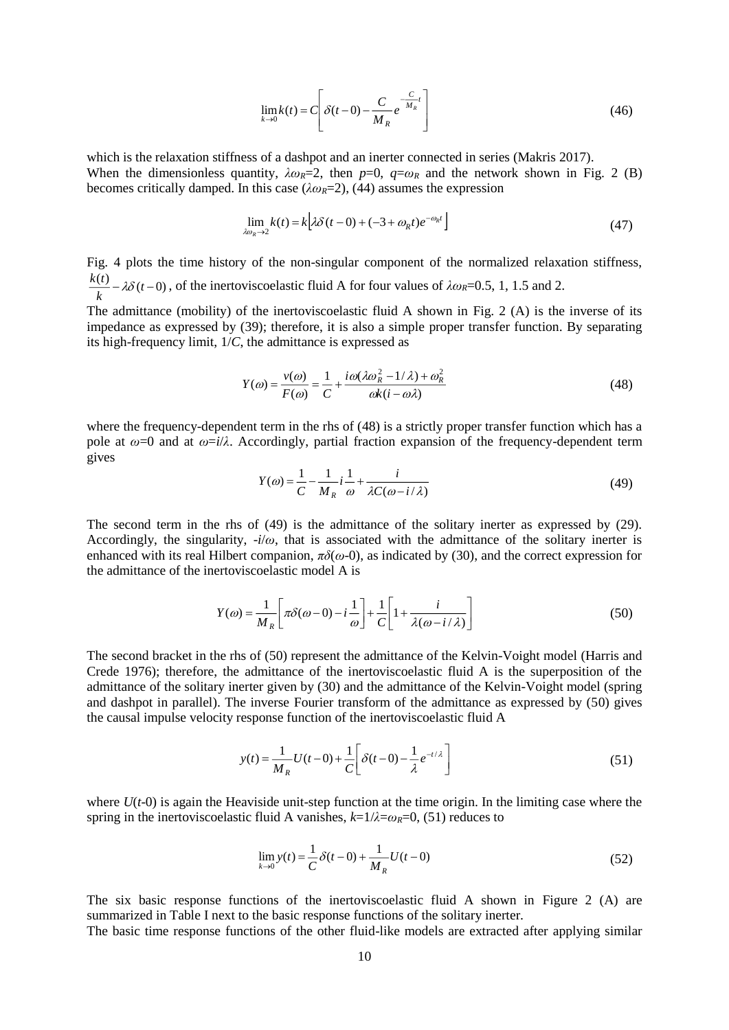$$
\lim_{k \to 0} k(t) = C \left[ \delta(t - 0) - \frac{C}{M_R} e^{-\frac{C}{M_R}t} \right]
$$
\n(46)

which is the relaxation stiffness of a dashpot and an inerter connected in series (Makris 2017). When the dimensionless quantity,  $\lambda \omega_R = 2$ , then  $p=0$ ,  $q=\omega_R$  and the network shown in Fig. 2 (B) becomes critically damped. In this case ( $\lambda \omega_R$ =2), (44) assumes the expression

$$
\lim_{\lambda \omega_R \to 2} k(t) = k \Big[ \lambda \delta(t - 0) + (-3 + \omega_R t) e^{-\omega_R t} \Big] \tag{47}
$$

Fig. 4 plots the time history of the non-singular component of the normalized relaxation stiffness,  $\frac{(t)}{k} - \lambda \delta(t-0)$  $\frac{k(t)}{t}$  –  $\lambda \delta(t-0)$ , of the inertoviscoelastic fluid A for four values of  $\lambda \omega_R$ =0.5, 1, 1.5 and 2.

The admittance (mobility) of the inertoviscoelastic fluid A shown in Fig. 2 (A) is the inverse of its impedance as expressed by (39); therefore, it is also a simple proper transfer function. By separating its high-frequency limit, 1/*C*, the admittance is expressed as

$$
Y(\omega) = \frac{v(\omega)}{F(\omega)} = \frac{1}{C} + \frac{i\omega(\lambda\omega_R^2 - 1/\lambda) + \omega_R^2}{\omega k(i - \omega\lambda)}
$$
(48)

where the frequency-dependent term in the rhs of (48) is a strictly proper transfer function which has a pole at *ω*=0 and at *ω*=*i*/*λ*. Accordingly, partial fraction expansion of the frequency-dependent term gives

$$
Y(\omega) = \frac{1}{C} - \frac{1}{M_R} i \frac{1}{\omega} + \frac{i}{\lambda C(\omega - i/\lambda)}
$$
(49)

The second term in the rhs of (49) is the admittance of the solitary inerter as expressed by (29). Accordingly, the singularity,  $-i/\omega$ , that is associated with the admittance of the solitary inerter is enhanced with its real Hilbert companion,  $\pi\delta(\omega-0)$ , as indicated by (30), and the correct expression for the admittance of the inertoviscoelastic model A is

$$
Y(\omega) = \frac{1}{M_R} \left[ \pi \delta(\omega - 0) - i \frac{1}{\omega} \right] + \frac{1}{C} \left[ 1 + \frac{i}{\lambda(\omega - i/\lambda)} \right]
$$
(50)

The second bracket in the rhs of (50) represent the admittance of the Kelvin-Voight model (Harris and Crede 1976); therefore, the admittance of the inertoviscoelastic fluid A is the superposition of the admittance of the solitary inerter given by (30) and the admittance of the Kelvin-Voight model (spring and dashpot in parallel). The inverse Fourier transform of the admittance as expressed by (50) gives the causal impulse velocity response function of the inertoviscoelastic fluid A

$$
y(t) = \frac{1}{M_R} U(t-0) + \frac{1}{C} \left[ \delta(t-0) - \frac{1}{\lambda} e^{-t/\lambda} \right]
$$
 (51)

where  $U(t-0)$  is again the Heaviside unit-step function at the time origin. In the limiting case where the spring in the inertoviscoelastic fluid A vanishes,  $k=1/\lambda = \omega_R = 0$ , (51) reduces to

$$
\lim_{k \to 0} y(t) = \frac{1}{C} \delta(t - 0) + \frac{1}{M_R} U(t - 0)
$$
\n(52)

The six basic response functions of the inertoviscoelastic fluid A shown in Figure 2 (A) are summarized in Table I next to the basic response functions of the solitary inerter.

The basic time response functions of the other fluid-like models are extracted after applying similar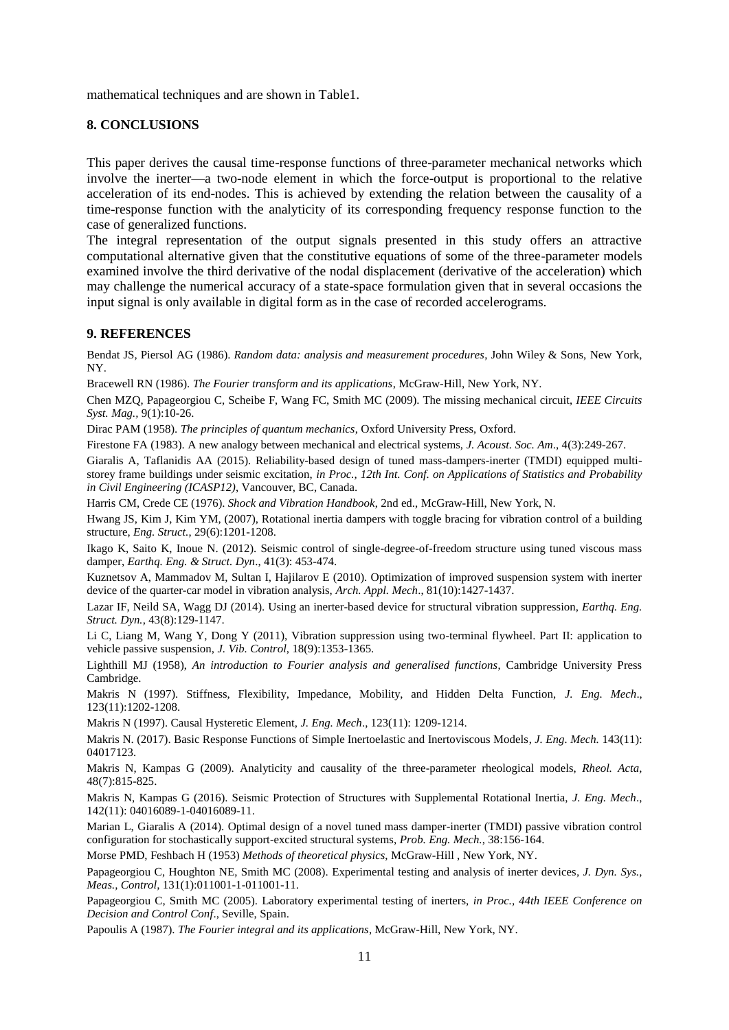mathematical techniques and are shown in Table1.

## **8. CONCLUSIONS**

This paper derives the causal time-response functions of three-parameter mechanical networks which involve the inerter—a two-node element in which the force-output is proportional to the relative acceleration of its end-nodes. This is achieved by extending the relation between the causality of a time-response function with the analyticity of its corresponding frequency response function to the case of generalized functions.

The integral representation of the output signals presented in this study offers an attractive computational alternative given that the constitutive equations of some of the three-parameter models examined involve the third derivative of the nodal displacement (derivative of the acceleration) which may challenge the numerical accuracy of a state-space formulation given that in several occasions the input signal is only available in digital form as in the case of recorded accelerograms.

## **9. REFERENCES**

Bendat JS, Piersol AG (1986). *Random data: analysis and measurement procedures*, John Wiley & Sons, New York, NY.

Bracewell RN (1986). *The Fourier transform and its applications*, McGraw-Hill, New York, NY.

Chen MZQ, Papageorgiou C, Scheibe F, Wang FC, Smith MC (2009). The missing mechanical circuit, *IEEE Circuits Syst. Mag.,* 9(1):10-26.

Dirac PAM (1958). *The principles of quantum mechanics*, Oxford University Press, Oxford.

Firestone FA (1983). A new analogy between mechanical and electrical systems, *J. Acoust. Soc. Am*., 4(3):249-267.

Giaralis A, Taflanidis AA (2015). Reliability-based design of tuned mass-dampers-inerter (TMDI) equipped multistorey frame buildings under seismic excitation, *in Proc., 12th Int. Conf. on Applications of Statistics and Probability in Civil Engineering (ICASP12)*, Vancouver, BC, Canada.

Harris CM, Crede CE (1976). *Shock and Vibration Handbook*, 2nd ed., McGraw-Hill, New York, N.

Hwang JS, Kim J, Kim YM, (2007), Rotational inertia dampers with toggle bracing for vibration control of a building structure, *Eng. Struct.*, 29(6):1201-1208.

Ikago K, Saito K, Inoue N. (2012). Seismic control of single-degree-of-freedom structure using tuned viscous mass damper, *Earthq. Eng. & Struct. Dyn*., 41(3): 453-474.

Kuznetsov A, Mammadov M, Sultan I, Hajilarov E (2010). Optimization of improved suspension system with inerter device of the quarter-car model in vibration analysis, *Arch. Appl. Mech*., 81(10):1427-1437.

Lazar IF, Neild SA, Wagg DJ (2014). Using an inerter-based device for structural vibration suppression, *Earthq. Eng. Struct. Dyn.*, 43(8):129-1147.

Li C, Liang M, Wang Y, Dong Y (2011), Vibration suppression using two-terminal flywheel. Part II: application to vehicle passive suspension, *J. Vib. Control*, 18(9):1353-1365.

Lighthill MJ (1958), *An introduction to Fourier analysis and generalised functions*, Cambridge University Press Cambridge.

Makris N (1997). Stiffness, Flexibility, Impedance, Mobility, and Hidden Delta Function, *J. Eng. Mech*., 123(11):1202-1208.

Makris N (1997). Causal Hysteretic Element, *J. Eng. Mech*., 123(11): 1209-1214.

Makris N. (2017). Basic Response Functions of Simple Inertoelastic and Inertoviscous Models, *J. Eng. Mech.* 143(11): 04017123.

Makris N, Kampas G (2009). Analyticity and causality of the three-parameter rheological models, *Rheol. Acta,* 48(7):815-825.

Makris N, Kampas G (2016). Seismic Protection of Structures with Supplemental Rotational Inertia, *J. Eng. Mech*., 142(11): 04016089-1-04016089-11.

Marian L, Giaralis A (2014). Optimal design of a novel tuned mass damper-inerter (TMDI) passive vibration control configuration for stochastically support-excited structural systems, *Prob. Eng. Mech.*, 38:156-164.

Morse PMD, Feshbach H (1953) *Methods of theoretical physics*, McGraw-Hill , New York, NY.

Papageorgiou C, Houghton NE, Smith MC (2008). Experimental testing and analysis of inerter devices*, J. Dyn. Sys., Meas., Control,* 131(1):011001-1-011001-11.

Papageorgiou C, Smith MC (2005). Laboratory experimental testing of inerters, *in Proc., 44th IEEE Conference on Decision and Control Conf*., Seville, Spain.

Papoulis A (1987). *The Fourier integral and its applications*, McGraw-Hill, New York, NY.